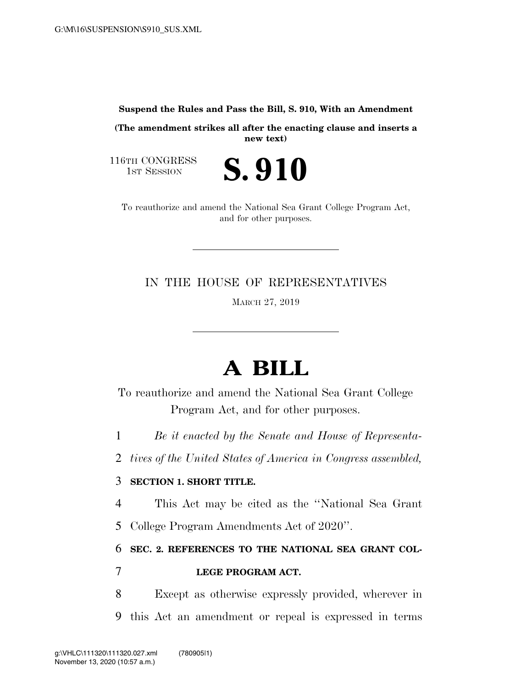#### **Suspend the Rules and Pass the Bill, S. 910, With an Amendment**

**(The amendment strikes all after the enacting clause and inserts a new text)** 

116TH CONGRESS<br>1st Session



To reauthorize and amend the National Sea Grant College Program Act, and for other purposes.

IN THE HOUSE OF REPRESENTATIVES

MARCH 27, 2019

# **A BILL**

To reauthorize and amend the National Sea Grant College Program Act, and for other purposes.

1 *Be it enacted by the Senate and House of Representa-*

2 *tives of the United States of America in Congress assembled,* 

### 3 **SECTION 1. SHORT TITLE.**

4 This Act may be cited as the ''National Sea Grant

5 College Program Amendments Act of 2020''.

6 **SEC. 2. REFERENCES TO THE NATIONAL SEA GRANT COL-**

### 7 **LEGE PROGRAM ACT.**

8 Except as otherwise expressly provided, wherever in 9 this Act an amendment or repeal is expressed in terms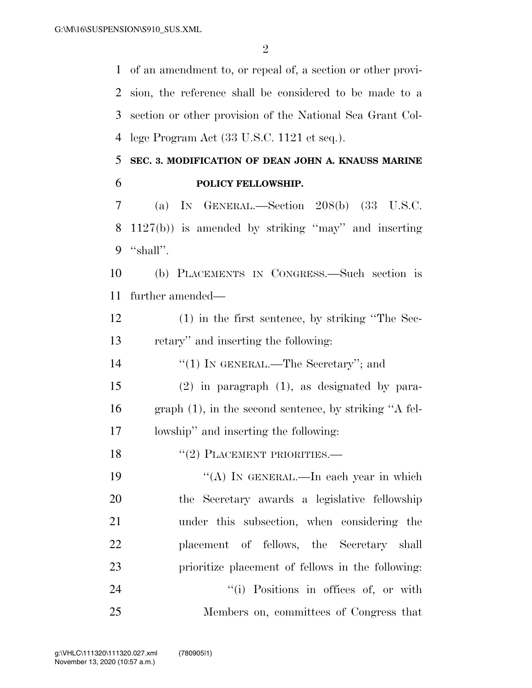$\mathfrak{D}$ 

 of an amendment to, or repeal of, a section or other provi- sion, the reference shall be considered to be made to a section or other provision of the National Sea Grant Col-lege Program Act (33 U.S.C. 1121 et seq.).

### **SEC. 3. MODIFICATION OF DEAN JOHN A. KNAUSS MARINE POLICY FELLOWSHIP.**

 (a) IN GENERAL.—Section 208(b) (33 U.S.C. 1127(b)) is amended by striking ''may'' and inserting ''shall''.

 (b) PLACEMENTS IN CONGRESS.—Such section is further amended—

 (1) in the first sentence, by striking ''The Sec-retary'' and inserting the following:

14  $\frac{1}{2}$  (1) In GENERAL.—The Secretary''; and

 (2) in paragraph (1), as designated by para- graph (1), in the second sentence, by striking ''A fel-lowship'' and inserting the following:

18 "(2) PLACEMENT PRIORITIES.—

 $((A)$  In GENERAL.—In each year in which the Secretary awards a legislative fellowship under this subsection, when considering the placement of fellows, the Secretary shall prioritize placement of fellows in the following:  $(1)$  Positions in offices of, or with Members on, committees of Congress that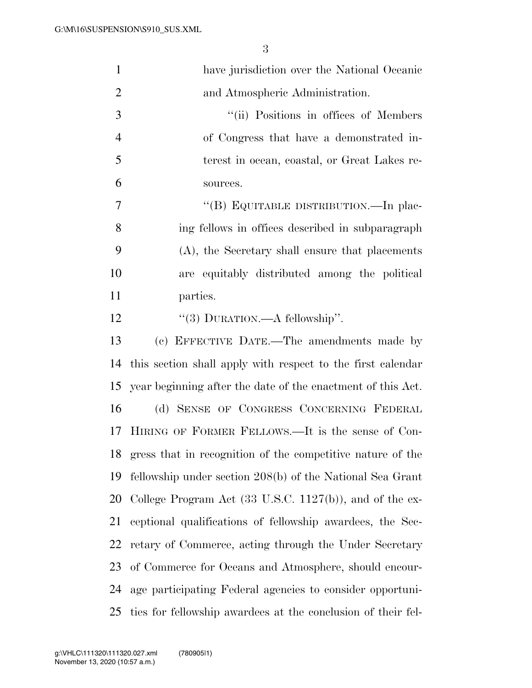| $\mathbf{1}$   | have jurisdiction over the National Oceanic                         |
|----------------|---------------------------------------------------------------------|
| $\overline{2}$ | and Atmospheric Administration.                                     |
| 3              | "(ii) Positions in offices of Members                               |
| $\overline{4}$ | of Congress that have a demonstrated in-                            |
| 5              | terest in ocean, coastal, or Great Lakes re-                        |
| 6              | sources.                                                            |
| 7              | "(B) EQUITABLE DISTRIBUTION.—In plac-                               |
| 8              | ing fellows in offices described in subparagraph                    |
| 9              | (A), the Secretary shall ensure that placements                     |
| 10             | are equitably distributed among the political                       |
| 11             | parties.                                                            |
| 12             | "(3) DURATION.—A fellowship".                                       |
| 13             | (c) EFFECTIVE DATE.—The amendments made by                          |
| 14             | this section shall apply with respect to the first calendar         |
| 15             | year beginning after the date of the enactment of this Act.         |
| 16             | (d) SENSE OF CONGRESS CONCERNING FEDERAL                            |
| 17             | HIRING OF FORMER FELLOWS.—It is the sense of Con-                   |
| 18             | gress that in recognition of the competitive nature of the          |
| 19             | fellowship under section 208(b) of the National Sea Grant           |
| 20             | College Program Act $(33 \text{ U.S.C. } 1127(b))$ , and of the ex- |
| 21             | ceptional qualifications of fellowship awardees, the Sec-           |
| 22             | retary of Commerce, acting through the Under Secretary              |
| 23             | of Commerce for Oceans and Atmosphere, should encour-               |
| 24             | age participating Federal agencies to consider opportuni-           |
| 25             | ties for fellowship awardees at the conclusion of their fel-        |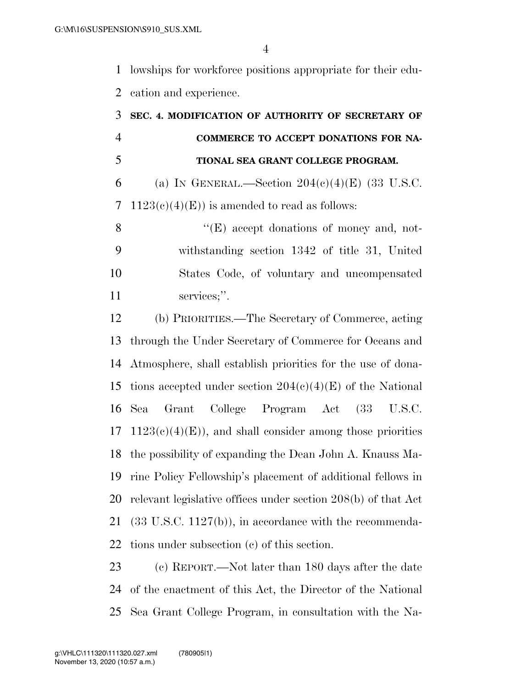lowships for workforce positions appropriate for their edu-cation and experience.

# **SEC. 4. MODIFICATION OF AUTHORITY OF SECRETARY OF COMMERCE TO ACCEPT DONATIONS FOR NA- TIONAL SEA GRANT COLLEGE PROGRAM.**  6 (a) IN GENERAL.—Section  $204(e)(4)$ (E) (33 U.S.C. 7 1123(c)(4)(E)) is amended to read as follows: 8 ''(E) accept donations of money and, not- withstanding section 1342 of title 31, United States Code, of voluntary and uncompensated services;''. (b) PRIORITIES.—The Secretary of Commerce, acting through the Under Secretary of Commerce for Oceans and Atmosphere, shall establish priorities for the use of dona-15 tions accepted under section  $204(c)(4)(E)$  of the National Sea Grant College Program Act (33 U.S.C.  $17 \quad 1123(c)(4)(E)$ , and shall consider among those priorities the possibility of expanding the Dean John A. Knauss Ma- rine Policy Fellowship's placement of additional fellows in relevant legislative offices under section 208(b) of that Act (33 U.S.C. 1127(b)), in accordance with the recommenda-tions under subsection (c) of this section.

 (c) REPORT.—Not later than 180 days after the date of the enactment of this Act, the Director of the National Sea Grant College Program, in consultation with the Na-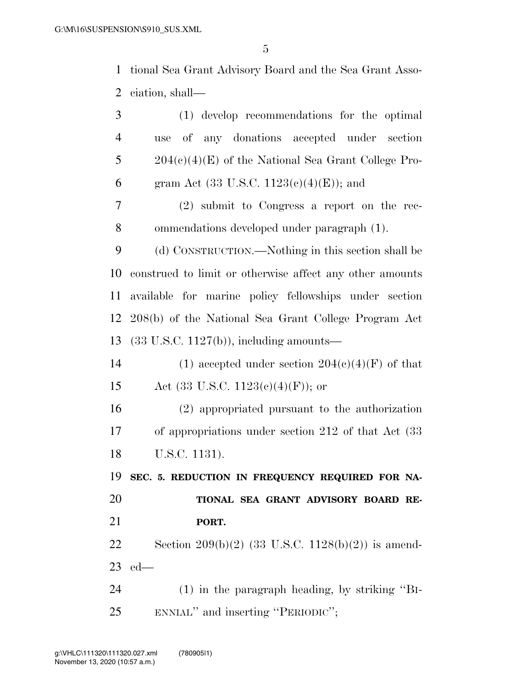tional Sea Grant Advisory Board and the Sea Grant Asso-ciation, shall—

| 3              | (1) develop recommendations for the optimal              |  |  |  |  |  |  |
|----------------|----------------------------------------------------------|--|--|--|--|--|--|
| $\overline{4}$ | of any donations accepted under section<br>use           |  |  |  |  |  |  |
| 5              | $204(c)(4)$ (E) of the National Sea Grant College Pro-   |  |  |  |  |  |  |
| 6              | gram Act $(33 \text{ U.S.C. } 1123(c)(4)(E))$ ; and      |  |  |  |  |  |  |
| 7              | $(2)$ submit to Congress a report on the rec-            |  |  |  |  |  |  |
| 8              | ommendations developed under paragraph (1).              |  |  |  |  |  |  |
| 9              | (d) CONSTRUCTION.—Nothing in this section shall be       |  |  |  |  |  |  |
| 10             | construed to limit or otherwise affect any other amounts |  |  |  |  |  |  |
| 11             | available for marine policy fellowships under section    |  |  |  |  |  |  |
| 12             | 208(b) of the National Sea Grant College Program Act     |  |  |  |  |  |  |
| 13             | $(33 \text{ U.S.C. } 1127(b))$ , including amounts—      |  |  |  |  |  |  |
| 14             | (1) accepted under section $204(c)(4)(F)$ of that        |  |  |  |  |  |  |
| 15             | Act (33 U.S.C. 1123(c)(4)(F)); or                        |  |  |  |  |  |  |
| 16             | (2) appropriated pursuant to the authorization           |  |  |  |  |  |  |
| 17             | of appropriations under section $212$ of that Act $(33)$ |  |  |  |  |  |  |
| 18             | U.S.C. 1131).                                            |  |  |  |  |  |  |
| 19             | SEC. 5. REDUCTION IN FREQUENCY REQUIRED FOR NA-          |  |  |  |  |  |  |
| 20             | TIONAL SEA GRANT ADVISORY BOARD RE-                      |  |  |  |  |  |  |
| 21             | PORT.                                                    |  |  |  |  |  |  |
| 22             | Section 209(b)(2) (33 U.S.C. 1128(b)(2)) is amend-       |  |  |  |  |  |  |
| 23             | $ed$ —                                                   |  |  |  |  |  |  |
| 24             | $(1)$ in the paragraph heading, by striking "BI-         |  |  |  |  |  |  |
| 25             | ENNIAL" and inserting "PERIODIC";                        |  |  |  |  |  |  |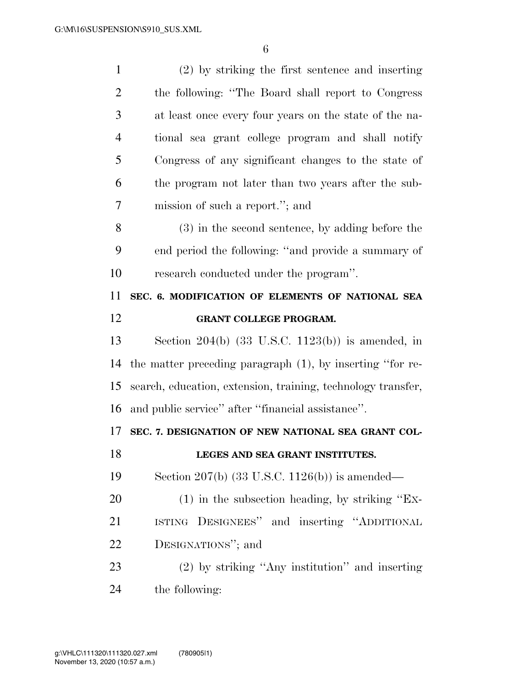| $\mathbf{1}$   | (2) by striking the first sentence and inserting             |
|----------------|--------------------------------------------------------------|
| $\overline{2}$ | the following: "The Board shall report to Congress"          |
| 3              | at least once every four years on the state of the na-       |
| $\overline{4}$ | tional sea grant college program and shall notify            |
| 5              | Congress of any significant changes to the state of          |
| 6              | the program not later than two years after the sub-          |
| 7              | mission of such a report."; and                              |
| 8              | (3) in the second sentence, by adding before the             |
| 9              | end period the following: "and provide a summary of          |
| 10             | research conducted under the program".                       |
| 11             | SEC. 6. MODIFICATION OF ELEMENTS OF NATIONAL SEA             |
| 12             | GRANT COLLEGE PROGRAM.                                       |
| 13             | Section $204(b)$ (33 U.S.C. 1123(b)) is amended, in          |
| 14             | the matter preceding paragraph (1), by inserting "for re-    |
| 15             | search, education, extension, training, technology transfer, |
| 16             | and public service" after "financial assistance".            |
| 17             | SEC. 7. DESIGNATION OF NEW NATIONAL SEA GRANT COL-           |
| 18             | LEGES AND SEA GRANT INSTITUTES.                              |
| 19             | Section 207(b) $(33 \text{ U.S.C. } 1126(b))$ is amended—    |
| 20             | $(1)$ in the subsection heading, by striking "Ex-            |
| 21             | ISTING DESIGNEES" and inserting "ADDITIONAL                  |
| 22             | DESIGNATIONS"; and                                           |
| 23             | $(2)$ by striking "Any institution" and inserting            |
|                |                                                              |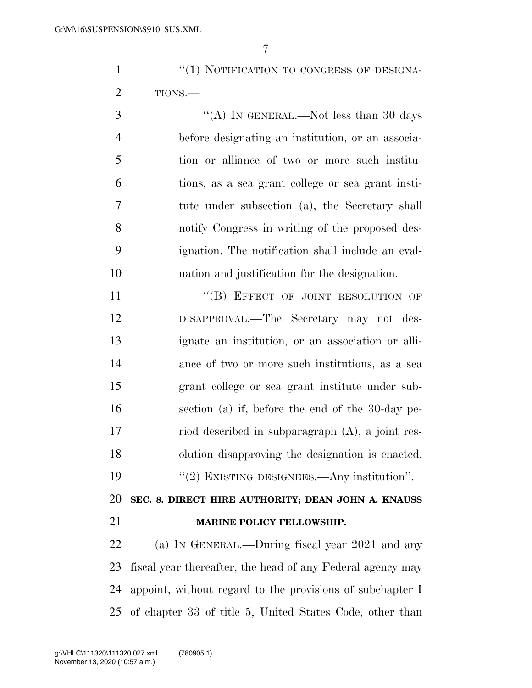1 "(1) NOTIFICATION TO CONGRESS OF DESIGNA-TIONS.—

 $\mathcal{S}$  ''(A) In GENERAL.—Not less than 30 days before designating an institution, or an associa- tion or alliance of two or more such institu- tions, as a sea grant college or sea grant insti- tute under subsection (a), the Secretary shall notify Congress in writing of the proposed des- ignation. The notification shall include an eval-uation and justification for the designation.

11 "(B) EFFECT OF JOINT RESOLUTION OF DISAPPROVAL.—The Secretary may not des- ignate an institution, or an association or alli- ance of two or more such institutions, as a sea grant college or sea grant institute under sub- section (a) if, before the end of the 30-day pe- riod described in subparagraph (A), a joint res- olution disapproving the designation is enacted. 19 "(2) EXISTING DESIGNEES.—Any institution".

 **SEC. 8. DIRECT HIRE AUTHORITY; DEAN JOHN A. KNAUSS MARINE POLICY FELLOWSHIP.** 

 (a) IN GENERAL.—During fiscal year 2021 and any fiscal year thereafter, the head of any Federal agency may appoint, without regard to the provisions of subchapter I of chapter 33 of title 5, United States Code, other than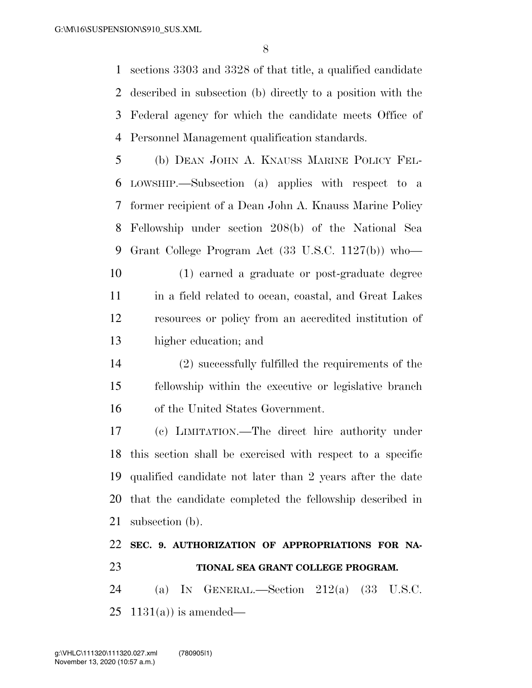sections 3303 and 3328 of that title, a qualified candidate described in subsection (b) directly to a position with the Federal agency for which the candidate meets Office of Personnel Management qualification standards.

 (b) DEAN JOHN A. KNAUSS MARINE POLICY FEL- LOWSHIP.—Subsection (a) applies with respect to a former recipient of a Dean John A. Knauss Marine Policy Fellowship under section 208(b) of the National Sea Grant College Program Act (33 U.S.C. 1127(b)) who—

 (1) earned a graduate or post-graduate degree 11 in a field related to ocean, coastal, and Great Lakes resources or policy from an accredited institution of higher education; and

 (2) successfully fulfilled the requirements of the fellowship within the executive or legislative branch of the United States Government.

 (c) LIMITATION.—The direct hire authority under this section shall be exercised with respect to a specific qualified candidate not later than 2 years after the date that the candidate completed the fellowship described in subsection (b).

## **SEC. 9. AUTHORIZATION OF APPROPRIATIONS FOR NA-TIONAL SEA GRANT COLLEGE PROGRAM.**

 (a) IN GENERAL.—Section 212(a) (33 U.S.C. 25  $1131(a)$  is amended—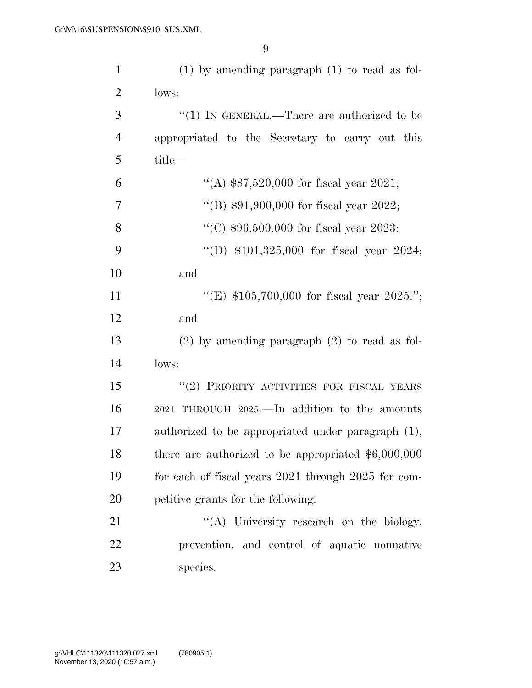| $\mathbf{1}$   | $(1)$ by amending paragraph $(1)$ to read as fol-    |
|----------------|------------------------------------------------------|
| $\overline{2}$ | lows:                                                |
| 3              | "(1) IN GENERAL.—There are authorized to be          |
| $\overline{4}$ | appropriated to the Secretary to carry out this      |
| 5              | title—                                               |
| 6              | "(A) $$87,520,000$ for fiscal year 2021;             |
| $\overline{7}$ | "(B) $$91,900,000$ for fiscal year 2022;             |
| 8              | "(C) $$96,500,000$ for fiscal year 2023;             |
| 9              | "(D) $$101,325,000$ for fiscal year 2024;            |
| 10             | and                                                  |
| 11             | "(E) $$105,700,000$ for fiscal year 2025.";          |
| 12             | and                                                  |
| 13             | $(2)$ by amending paragraph $(2)$ to read as fol-    |
| 14             | lows:                                                |
| 15             | "(2) PRIORITY ACTIVITIES FOR FISCAL YEARS            |
| 16             | 2021 THROUGH 2025.—In addition to the amounts        |
| 17             | authorized to be appropriated under paragraph (1),   |
| 18             | there are authorized to be appropriated $$6,000,000$ |
| 19             | for each of fiscal years 2021 through 2025 for com-  |
| 20             | petitive grants for the following:                   |
| 21             | "(A) University research on the biology,             |
| 22             | prevention, and control of aquatic nonnative         |
| 23             | species.                                             |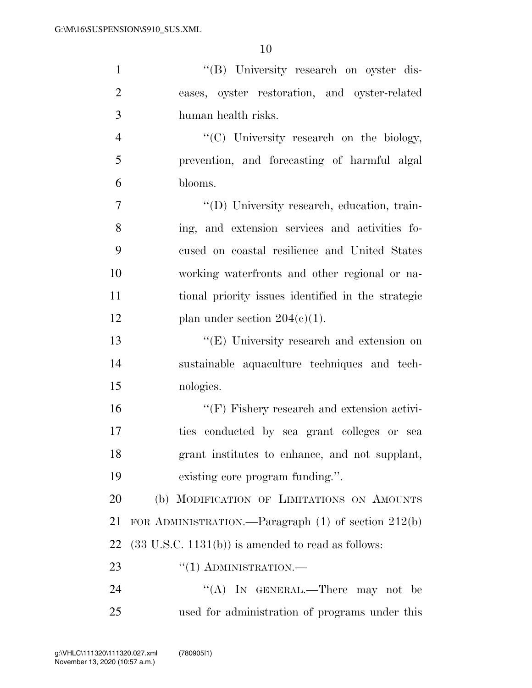| $\mathbf{1}$   | "(B) University research on oyster dis-                       |
|----------------|---------------------------------------------------------------|
| $\overline{2}$ | eases, oyster restoration, and oyster-related                 |
| 3              | human health risks.                                           |
| $\overline{4}$ | "(C) University research on the biology,                      |
| 5              | prevention, and forecasting of harmful algal                  |
| 6              | blooms.                                                       |
| $\overline{7}$ | "(D) University research, education, train-                   |
| 8              | ing, and extension services and activities fo-                |
| 9              | cused on coastal resilience and United States                 |
| 10             | working waterfronts and other regional or na-                 |
| 11             | tional priority issues identified in the strategic            |
| 12             | plan under section $204(c)(1)$ .                              |
| 13             | "(E) University research and extension on                     |
| 14             | sustainable aquaculture techniques and tech-                  |
| 15             | nologies.                                                     |
| 16             | $\lq\lq(F)$ Fishery research and extension activi-            |
| 17             | ties conducted by sea grant colleges or sea                   |
| 18             | grant institutes to enhance, and not supplant,                |
| 19             | existing core program funding.".                              |
| 20             | (b) MODIFICATION OF LIMITATIONS ON AMOUNTS                    |
| 21             | FOR ADMINISTRATION.—Paragraph $(1)$ of section $212(b)$       |
| 22             | $(33 \text{ U.S.C. } 1131(b))$ is amended to read as follows: |
| 23             | $``(1)$ ADMINISTRATION.—                                      |
| 24             | "(A) IN GENERAL.—There may not be                             |
| 25             | used for administration of programs under this                |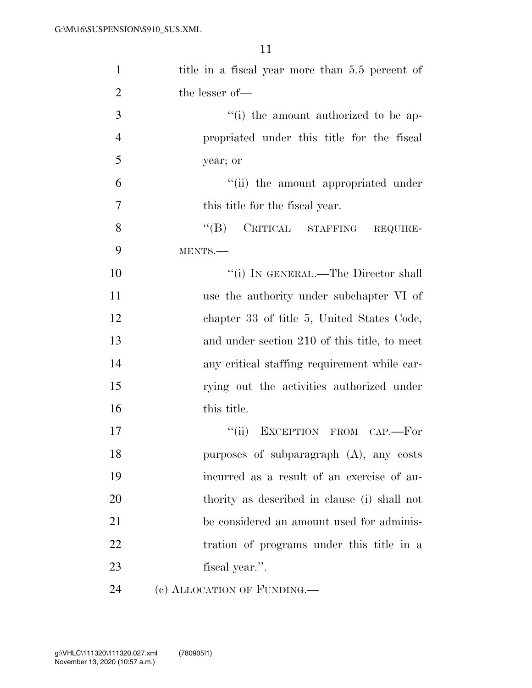| $\mathbf{1}$   | title in a fiscal year more than 5.5 percent of |
|----------------|-------------------------------------------------|
| $\overline{2}$ | the lesser of-                                  |
| 3              | "(i) the amount authorized to be ap-            |
| $\overline{4}$ | propriated under this title for the fiscal      |
| 5              | year; or                                        |
| 6              | "(ii) the amount appropriated under             |
| $\overline{7}$ | this title for the fiscal year.                 |
| 8              | $\lq\lq (B)$<br>CRITICAL STAFFING REQUIRE-      |
| 9              | MENTS.                                          |
| 10             | "(i) IN GENERAL.—The Director shall             |
| 11             | use the authority under subchapter VI of        |
| 12             | chapter 33 of title 5, United States Code,      |
| 13             | and under section 210 of this title, to meet    |
| 14             | any critical staffing requirement while car-    |
| 15             | rying out the activities authorized under       |
| 16             | this title.                                     |
| 17             | "(ii) EXCEPTION FROM CAP.-For                   |
| 18             | purposes of subparagraph (A), any costs         |
| 19             | incurred as a result of an exercise of au-      |
| 20             | thority as described in clause (i) shall not    |
| 21             | be considered an amount used for adminis-       |
| 22             | tration of programs under this title in a       |
| 23             | fiscal year.".                                  |
| 24             | (c) ALLOCATION OF FUNDING.                      |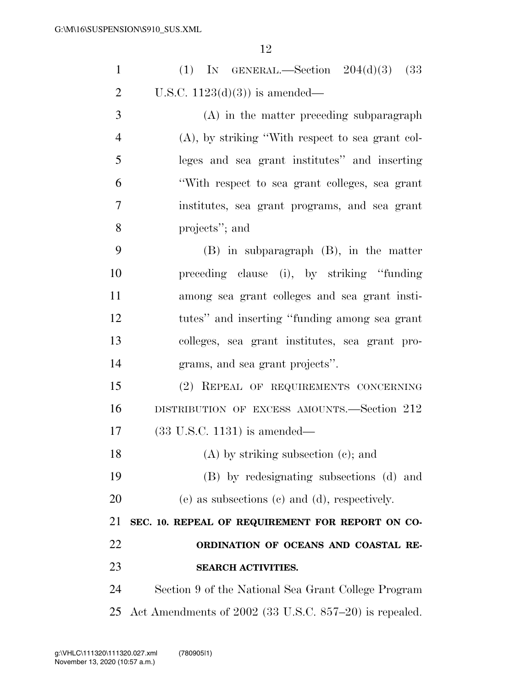| $\mathbf{1}$   | (1) IN GENERAL.—Section $204(d)(3)$ (33)               |  |  |  |  |  |  |  |
|----------------|--------------------------------------------------------|--|--|--|--|--|--|--|
| $\overline{2}$ | U.S.C. $1123(d)(3)$ is amended—                        |  |  |  |  |  |  |  |
| 3              | $(A)$ in the matter preceding subparagraph             |  |  |  |  |  |  |  |
| $\overline{4}$ | $(A)$ , by striking "With respect to sea grant col-    |  |  |  |  |  |  |  |
| 5              | leges and sea grant institutes" and inserting          |  |  |  |  |  |  |  |
| 6              | "With respect to sea grant colleges, sea grant         |  |  |  |  |  |  |  |
| 7              | institutes, sea grant programs, and sea grant          |  |  |  |  |  |  |  |
| 8              | projects"; and                                         |  |  |  |  |  |  |  |
| 9              | $(B)$ in subparagraph $(B)$ , in the matter            |  |  |  |  |  |  |  |
| 10             | preceding clause (i), by striking "funding"            |  |  |  |  |  |  |  |
| 11             | among sea grant colleges and sea grant insti-          |  |  |  |  |  |  |  |
| 12             | tutes" and inserting "funding among sea grant          |  |  |  |  |  |  |  |
| 13             | colleges, sea grant institutes, sea grant pro-         |  |  |  |  |  |  |  |
| 14             | grams, and sea grant projects".                        |  |  |  |  |  |  |  |
| 15             | (2) REPEAL OF REQUIREMENTS CONCERNING                  |  |  |  |  |  |  |  |
| 16             | DISTRIBUTION OF EXCESS AMOUNTS.—Section 212            |  |  |  |  |  |  |  |
| 17             | $(33 \text{ U.S.C. } 1131)$ is amended—                |  |  |  |  |  |  |  |
| 18             | (A) by striking subsection (c); and                    |  |  |  |  |  |  |  |
| 19             | (B) by redesignating subsections (d) and               |  |  |  |  |  |  |  |
| 20             | $(e)$ as subsections $(e)$ and $(d)$ , respectively.   |  |  |  |  |  |  |  |
| 21             | SEC. 10. REPEAL OF REQUIREMENT FOR REPORT ON CO-       |  |  |  |  |  |  |  |
| 22             | ORDINATION OF OCEANS AND COASTAL RE-                   |  |  |  |  |  |  |  |
| 23             | <b>SEARCH ACTIVITIES.</b>                              |  |  |  |  |  |  |  |
| 24             | Section 9 of the National Sea Grant College Program    |  |  |  |  |  |  |  |
| 25             | Act Amendments of 2002 (33 U.S.C. 857–20) is repealed. |  |  |  |  |  |  |  |